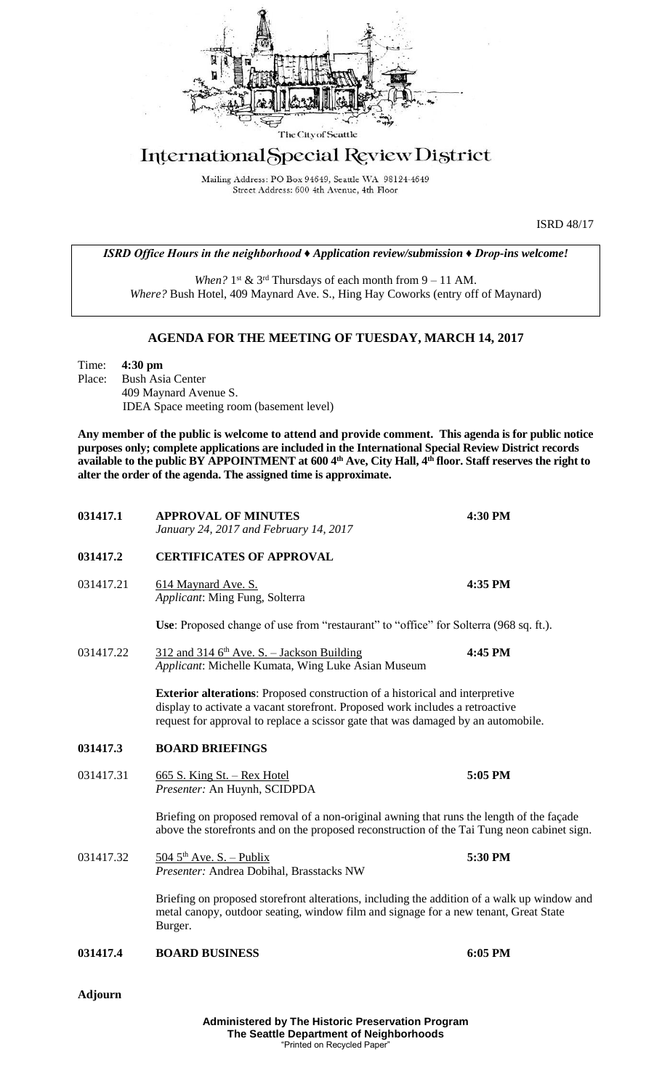

## International Special Review District

Mailing Address: PO Box 94649, Seattle WA 98124-4649 Street Address: 600 4th Avenue, 4th Floor

ISRD 48/17

*ISRD Office Hours in the neighborhood ♦ Application review/submission ♦ Drop-ins welcome!*

When?  $1^{st}$  &  $3^{rd}$  Thursdays of each month from  $9 - 11$  AM. *Where?* Bush Hotel, 409 Maynard Ave. S., Hing Hay Coworks (entry off of Maynard)

## **AGENDA FOR THE MEETING OF TUESDAY, MARCH 14, 2017**

Time: **4:30 pm** Place: Bush Asia Center 409 Maynard Avenue S. IDEA Space meeting room (basement level)

**Any member of the public is welcome to attend and provide comment. This agenda is for public notice purposes only; complete applications are included in the International Special Review District records available to the public BY APPOINTMENT at 600 4th Ave, City Hall, 4th floor. Staff reserves the right to alter the order of the agenda. The assigned time is approximate.** 

| 031417.1       | <b>APPROVAL OF MINUTES</b><br>January 24, 2017 and February 14, 2017                                                                                                                                                                                      | 4:30 PM |
|----------------|-----------------------------------------------------------------------------------------------------------------------------------------------------------------------------------------------------------------------------------------------------------|---------|
| 031417.2       | <b>CERTIFICATES OF APPROVAL</b>                                                                                                                                                                                                                           |         |
| 031417.21      | 614 Maynard Ave. S.<br>Applicant: Ming Fung, Solterra                                                                                                                                                                                                     | 4:35 PM |
|                | Use: Proposed change of use from "restaurant" to "office" for Solterra (968 sq. ft.).                                                                                                                                                                     |         |
| 031417.22      | $312$ and 314 6 <sup>th</sup> Ave. S. - Jackson Building<br>Applicant: Michelle Kumata, Wing Luke Asian Museum                                                                                                                                            | 4:45 PM |
|                | <b>Exterior alterations:</b> Proposed construction of a historical and interpretive<br>display to activate a vacant storefront. Proposed work includes a retroactive<br>request for approval to replace a scissor gate that was damaged by an automobile. |         |
| 031417.3       | <b>BOARD BRIEFINGS</b>                                                                                                                                                                                                                                    |         |
| 031417.31      | $\underline{665}$ S. King St. – Rex Hotel<br>Presenter: An Huynh, SCIDPDA                                                                                                                                                                                 | 5:05 PM |
|                | Briefing on proposed removal of a non-original awning that runs the length of the façade<br>above the storefronts and on the proposed reconstruction of the Tai Tung neon cabinet sign.                                                                   |         |
| 031417.32      | $5045^{\text{th}}$ Ave. S. - Publix<br>Presenter: Andrea Dobihal, Brasstacks NW                                                                                                                                                                           | 5:30 PM |
|                | Briefing on proposed storefront alterations, including the addition of a walk up window and<br>metal canopy, outdoor seating, window film and signage for a new tenant, Great State<br>Burger.                                                            |         |
| 031417.4       | <b>BOARD BUSINESS</b>                                                                                                                                                                                                                                     | 6:05 PM |
| <b>Adjourn</b> |                                                                                                                                                                                                                                                           |         |